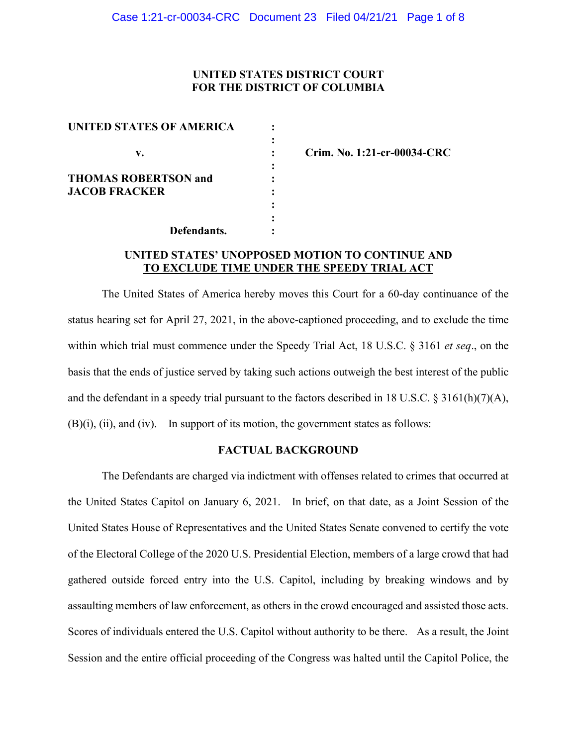## **UNITED STATES DISTRICT COURT FOR THE DISTRICT OF COLUMBIA**

| UNITED STATES OF AMERICA    |  |
|-----------------------------|--|
|                             |  |
| v.                          |  |
|                             |  |
| <b>THOMAS ROBERTSON and</b> |  |
| <b>JACOB FRACKER</b>        |  |
|                             |  |
|                             |  |
| Defendants.                 |  |

**v. : Crim. No. 1:21-cr-00034-CRC**

# **UNITED STATES' UNOPPOSED MOTION TO CONTINUE AND TO EXCLUDE TIME UNDER THE SPEEDY TRIAL ACT**

The United States of America hereby moves this Court for a 60-day continuance of the status hearing set for April 27, 2021, in the above-captioned proceeding, and to exclude the time within which trial must commence under the Speedy Trial Act, 18 U.S.C. § 3161 *et seq*., on the basis that the ends of justice served by taking such actions outweigh the best interest of the public and the defendant in a speedy trial pursuant to the factors described in 18 U.S.C. § 3161(h)(7)(A), (B)(i), (ii), and (iv). In support of its motion, the government states as follows:

### **FACTUAL BACKGROUND**

The Defendants are charged via indictment with offenses related to crimes that occurred at the United States Capitol on January 6, 2021. In brief, on that date, as a Joint Session of the United States House of Representatives and the United States Senate convened to certify the vote of the Electoral College of the 2020 U.S. Presidential Election, members of a large crowd that had gathered outside forced entry into the U.S. Capitol, including by breaking windows and by assaulting members of law enforcement, as others in the crowd encouraged and assisted those acts. Scores of individuals entered the U.S. Capitol without authority to be there. As a result, the Joint Session and the entire official proceeding of the Congress was halted until the Capitol Police, the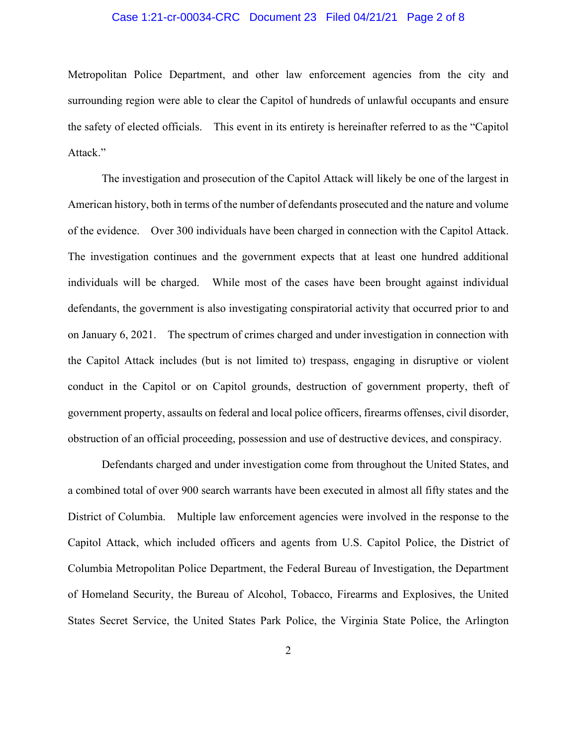### Case 1:21-cr-00034-CRC Document 23 Filed 04/21/21 Page 2 of 8

Metropolitan Police Department, and other law enforcement agencies from the city and surrounding region were able to clear the Capitol of hundreds of unlawful occupants and ensure the safety of elected officials. This event in its entirety is hereinafter referred to as the "Capitol Attack."

The investigation and prosecution of the Capitol Attack will likely be one of the largest in American history, both in terms of the number of defendants prosecuted and the nature and volume of the evidence. Over 300 individuals have been charged in connection with the Capitol Attack. The investigation continues and the government expects that at least one hundred additional individuals will be charged. While most of the cases have been brought against individual defendants, the government is also investigating conspiratorial activity that occurred prior to and on January 6, 2021. The spectrum of crimes charged and under investigation in connection with the Capitol Attack includes (but is not limited to) trespass, engaging in disruptive or violent conduct in the Capitol or on Capitol grounds, destruction of government property, theft of government property, assaults on federal and local police officers, firearms offenses, civil disorder, obstruction of an official proceeding, possession and use of destructive devices, and conspiracy.

Defendants charged and under investigation come from throughout the United States, and a combined total of over 900 search warrants have been executed in almost all fifty states and the District of Columbia. Multiple law enforcement agencies were involved in the response to the Capitol Attack, which included officers and agents from U.S. Capitol Police, the District of Columbia Metropolitan Police Department, the Federal Bureau of Investigation, the Department of Homeland Security, the Bureau of Alcohol, Tobacco, Firearms and Explosives, the United States Secret Service, the United States Park Police, the Virginia State Police, the Arlington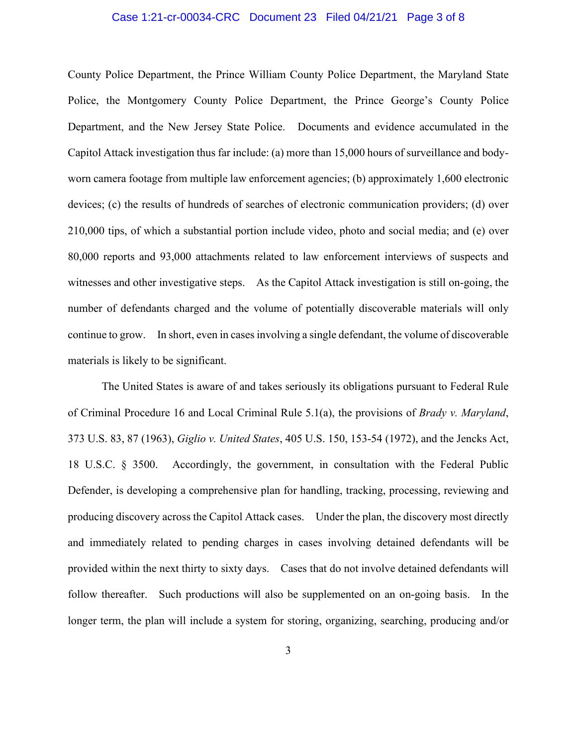#### Case 1:21-cr-00034-CRC Document 23 Filed 04/21/21 Page 3 of 8

County Police Department, the Prince William County Police Department, the Maryland State Police, the Montgomery County Police Department, the Prince George's County Police Department, and the New Jersey State Police. Documents and evidence accumulated in the Capitol Attack investigation thus far include: (a) more than 15,000 hours of surveillance and bodyworn camera footage from multiple law enforcement agencies; (b) approximately 1,600 electronic devices; (c) the results of hundreds of searches of electronic communication providers; (d) over 210,000 tips, of which a substantial portion include video, photo and social media; and (e) over 80,000 reports and 93,000 attachments related to law enforcement interviews of suspects and witnesses and other investigative steps. As the Capitol Attack investigation is still on-going, the number of defendants charged and the volume of potentially discoverable materials will only continue to grow. In short, even in cases involving a single defendant, the volume of discoverable materials is likely to be significant.

The United States is aware of and takes seriously its obligations pursuant to Federal Rule of Criminal Procedure 16 and Local Criminal Rule 5.1(a), the provisions of *Brady v. Maryland*, 373 U.S. 83, 87 (1963), *Giglio v. United States*, 405 U.S. 150, 153-54 (1972), and the Jencks Act, 18 U.S.C. § 3500. Accordingly, the government, in consultation with the Federal Public Defender, is developing a comprehensive plan for handling, tracking, processing, reviewing and producing discovery across the Capitol Attack cases. Under the plan, the discovery most directly and immediately related to pending charges in cases involving detained defendants will be provided within the next thirty to sixty days. Cases that do not involve detained defendants will follow thereafter. Such productions will also be supplemented on an on-going basis. In the longer term, the plan will include a system for storing, organizing, searching, producing and/or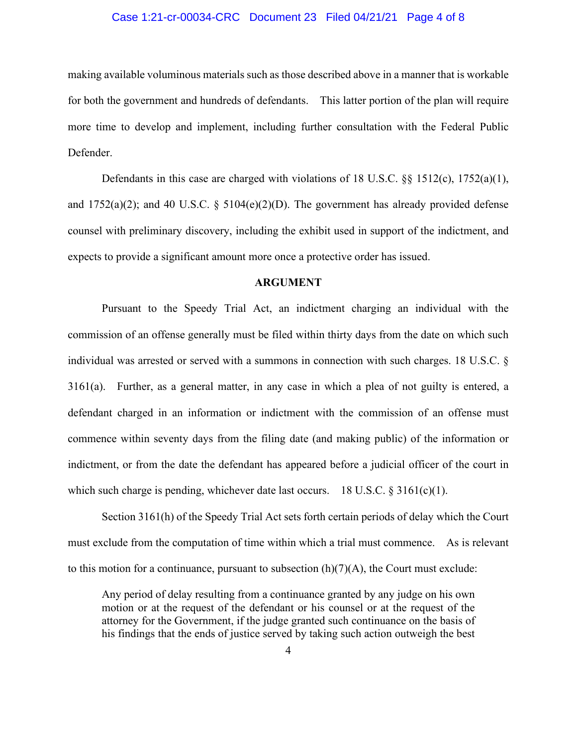#### Case 1:21-cr-00034-CRC Document 23 Filed 04/21/21 Page 4 of 8

making available voluminous materials such as those described above in a manner that is workable for both the government and hundreds of defendants. This latter portion of the plan will require more time to develop and implement, including further consultation with the Federal Public Defender.

Defendants in this case are charged with violations of 18 U.S.C.  $\S$  1512(c), 1752(a)(1), and  $1752(a)(2)$ ; and 40 U.S.C. §  $5104(e)(2)(D)$ . The government has already provided defense counsel with preliminary discovery, including the exhibit used in support of the indictment, and expects to provide a significant amount more once a protective order has issued.

#### **ARGUMENT**

Pursuant to the Speedy Trial Act, an indictment charging an individual with the commission of an offense generally must be filed within thirty days from the date on which such individual was arrested or served with a summons in connection with such charges. 18 U.S.C. § 3161(a). Further, as a general matter, in any case in which a plea of not guilty is entered, a defendant charged in an information or indictment with the commission of an offense must commence within seventy days from the filing date (and making public) of the information or indictment, or from the date the defendant has appeared before a judicial officer of the court in which such charge is pending, whichever date last occurs. 18 U.S.C.  $\S 3161(c)(1)$ .

Section 3161(h) of the Speedy Trial Act sets forth certain periods of delay which the Court must exclude from the computation of time within which a trial must commence. As is relevant to this motion for a continuance, pursuant to subsection  $(h)(7)(A)$ , the Court must exclude:

Any period of delay resulting from a continuance granted by any judge on his own motion or at the request of the defendant or his counsel or at the request of the attorney for the Government, if the judge granted such continuance on the basis of his findings that the ends of justice served by taking such action outweigh the best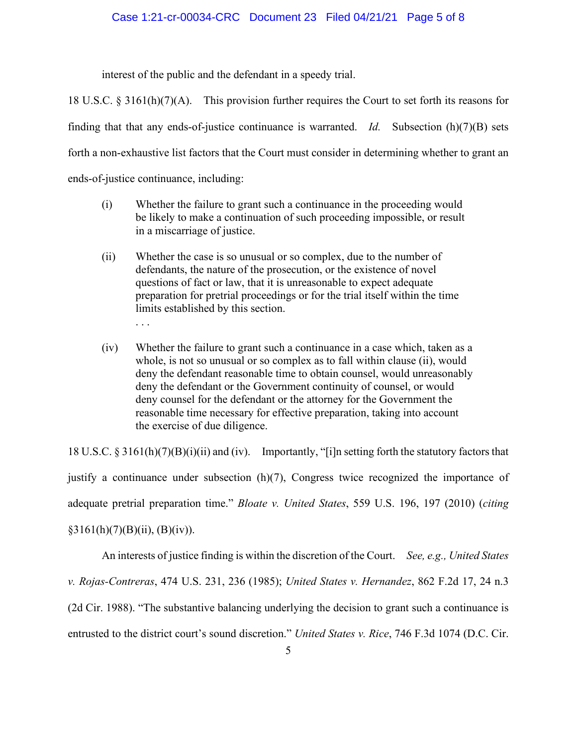#### Case 1:21-cr-00034-CRC Document 23 Filed 04/21/21 Page 5 of 8

interest of the public and the defendant in a speedy trial.

18 U.S.C.  $\S 3161(h)(7)(A)$ . This provision further requires the Court to set forth its reasons for finding that that any ends-of-justice continuance is warranted. *Id.* Subsection (h)(7)(B) sets forth a non-exhaustive list factors that the Court must consider in determining whether to grant an ends-of-justice continuance, including:

- (i) Whether the failure to grant such a continuance in the proceeding would be likely to make a continuation of such proceeding impossible, or result in a miscarriage of justice.
- (ii) Whether the case is so unusual or so complex, due to the number of defendants, the nature of the prosecution, or the existence of novel questions of fact or law, that it is unreasonable to expect adequate preparation for pretrial proceedings or for the trial itself within the time limits established by this section. . . .
- (iv) Whether the failure to grant such a continuance in a case which, taken as a whole, is not so unusual or so complex as to fall within clause (ii), would deny the defendant reasonable time to obtain counsel, would unreasonably deny the defendant or the Government continuity of counsel, or would deny counsel for the defendant or the attorney for the Government the reasonable time necessary for effective preparation, taking into account the exercise of due diligence.

18 U.S.C. § 3161(h)(7)(B)(i)(ii) and (iv). Importantly, "[i]n setting forth the statutory factors that justify a continuance under subsection (h)(7), Congress twice recognized the importance of adequate pretrial preparation time." *Bloate v. United States*, 559 U.S. 196, 197 (2010) (*citing*  $§3161(h)(7)(B)(ii), (B)(iv)).$ 

An interests of justice finding is within the discretion of the Court. *See, e.g., United States v. Rojas-Contreras*, 474 U.S. 231, 236 (1985); *United States v. Hernandez*, 862 F.2d 17, 24 n.3 (2d Cir. 1988). "The substantive balancing underlying the decision to grant such a continuance is entrusted to the district court's sound discretion." *United States v. Rice*, 746 F.3d 1074 (D.C. Cir.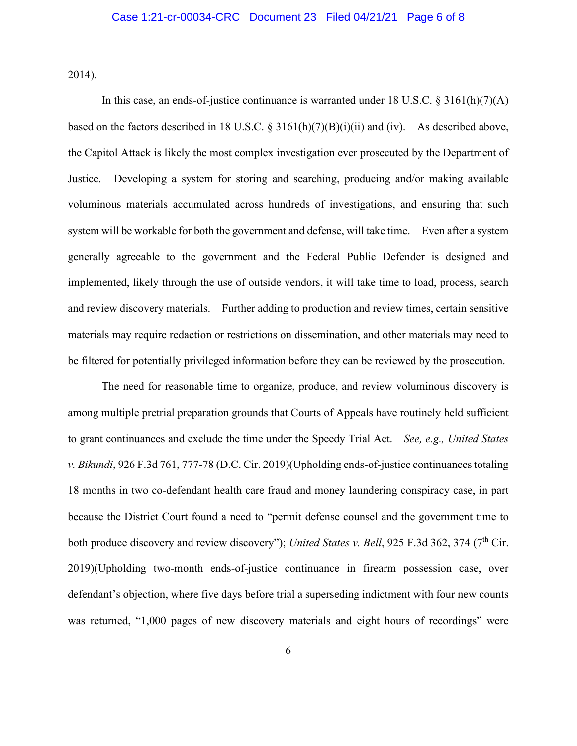2014).

In this case, an ends-of-justice continuance is warranted under 18 U.S.C. § 3161(h)(7)(A) based on the factors described in 18 U.S.C. § 3161(h)(7)(B)(i)(ii) and (iv). As described above, the Capitol Attack is likely the most complex investigation ever prosecuted by the Department of Justice. Developing a system for storing and searching, producing and/or making available voluminous materials accumulated across hundreds of investigations, and ensuring that such system will be workable for both the government and defense, will take time. Even after a system generally agreeable to the government and the Federal Public Defender is designed and implemented, likely through the use of outside vendors, it will take time to load, process, search and review discovery materials. Further adding to production and review times, certain sensitive materials may require redaction or restrictions on dissemination, and other materials may need to be filtered for potentially privileged information before they can be reviewed by the prosecution.

The need for reasonable time to organize, produce, and review voluminous discovery is among multiple pretrial preparation grounds that Courts of Appeals have routinely held sufficient to grant continuances and exclude the time under the Speedy Trial Act. *See, e.g., United States v. Bikundi*, 926 F.3d 761, 777-78 (D.C. Cir. 2019)(Upholding ends-of-justice continuances totaling 18 months in two co-defendant health care fraud and money laundering conspiracy case, in part because the District Court found a need to "permit defense counsel and the government time to both produce discovery and review discovery"); *United States v. Bell*, 925 F.3d 362, 374 (7<sup>th</sup> Cir. 2019)(Upholding two-month ends-of-justice continuance in firearm possession case, over defendant's objection, where five days before trial a superseding indictment with four new counts was returned, "1,000 pages of new discovery materials and eight hours of recordings" were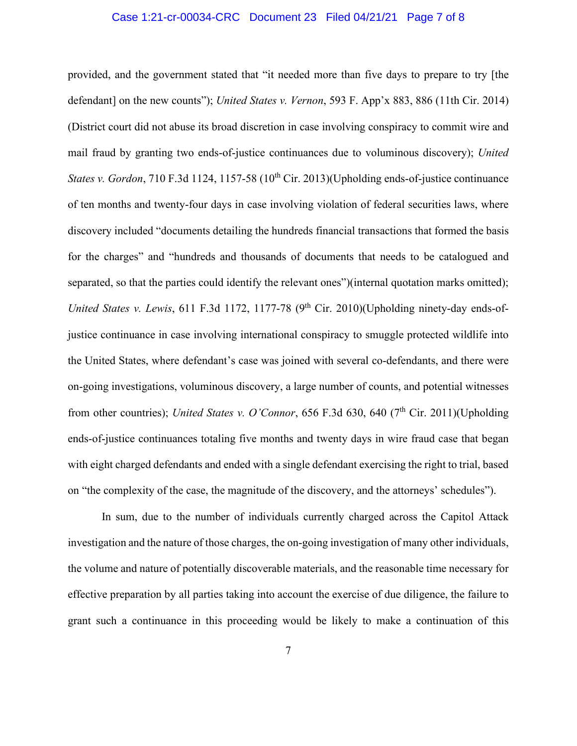#### Case 1:21-cr-00034-CRC Document 23 Filed 04/21/21 Page 7 of 8

provided, and the government stated that "it needed more than five days to prepare to try [the defendant] on the new counts"); *United States v. Vernon*, 593 F. App'x 883, 886 (11th Cir. 2014) (District court did not abuse its broad discretion in case involving conspiracy to commit wire and mail fraud by granting two ends-of-justice continuances due to voluminous discovery); *United States v. Gordon*, 710 F.3d 1124, 1157-58 (10<sup>th</sup> Cir. 2013)(Upholding ends-of-justice continuance of ten months and twenty-four days in case involving violation of federal securities laws, where discovery included "documents detailing the hundreds financial transactions that formed the basis for the charges" and "hundreds and thousands of documents that needs to be catalogued and separated, so that the parties could identify the relevant ones")(internal quotation marks omitted); *United States v. Lewis*, 611 F.3d 1172, 1177-78 (9<sup>th</sup> Cir. 2010)(Upholding ninety-day ends-ofjustice continuance in case involving international conspiracy to smuggle protected wildlife into the United States, where defendant's case was joined with several co-defendants, and there were on-going investigations, voluminous discovery, a large number of counts, and potential witnesses from other countries); *United States v. O'Connor*, 656 F.3d 630, 640 (7<sup>th</sup> Cir. 2011)(Upholding ends-of-justice continuances totaling five months and twenty days in wire fraud case that began with eight charged defendants and ended with a single defendant exercising the right to trial, based on "the complexity of the case, the magnitude of the discovery, and the attorneys' schedules").

In sum, due to the number of individuals currently charged across the Capitol Attack investigation and the nature of those charges, the on-going investigation of many other individuals, the volume and nature of potentially discoverable materials, and the reasonable time necessary for effective preparation by all parties taking into account the exercise of due diligence, the failure to grant such a continuance in this proceeding would be likely to make a continuation of this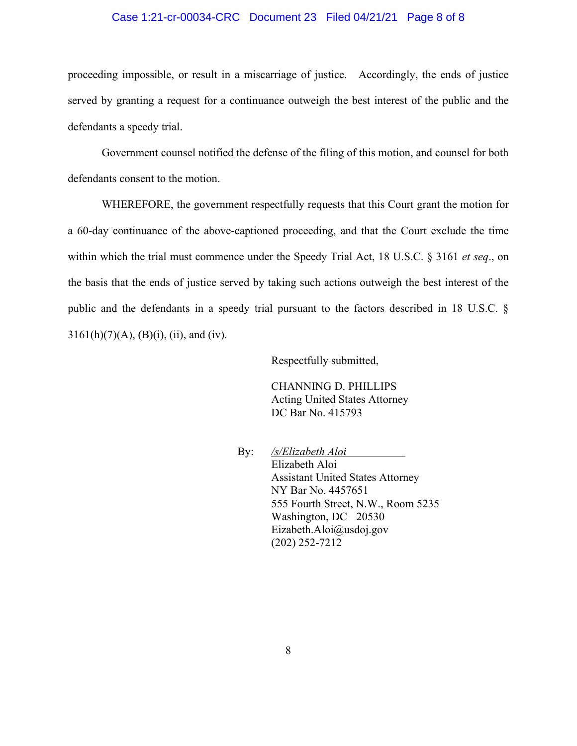### Case 1:21-cr-00034-CRC Document 23 Filed 04/21/21 Page 8 of 8

proceeding impossible, or result in a miscarriage of justice. Accordingly, the ends of justice served by granting a request for a continuance outweigh the best interest of the public and the defendants a speedy trial.

Government counsel notified the defense of the filing of this motion, and counsel for both defendants consent to the motion.

WHEREFORE, the government respectfully requests that this Court grant the motion for a 60-day continuance of the above-captioned proceeding, and that the Court exclude the time within which the trial must commence under the Speedy Trial Act, 18 U.S.C. § 3161 *et seq*., on the basis that the ends of justice served by taking such actions outweigh the best interest of the public and the defendants in a speedy trial pursuant to the factors described in 18 U.S.C. §  $3161(h)(7)(A), (B)(i), (ii), and (iv).$ 

Respectfully submitted,

CHANNING D. PHILLIPS Acting United States Attorney DC Bar No. 415793

By: */s/Elizabeth Aloi* Elizabeth Aloi Assistant United States Attorney NY Bar No. 4457651 555 Fourth Street, N.W., Room 5235 Washington, DC 20530 Eizabeth.Aloi@usdoj.gov (202) 252-7212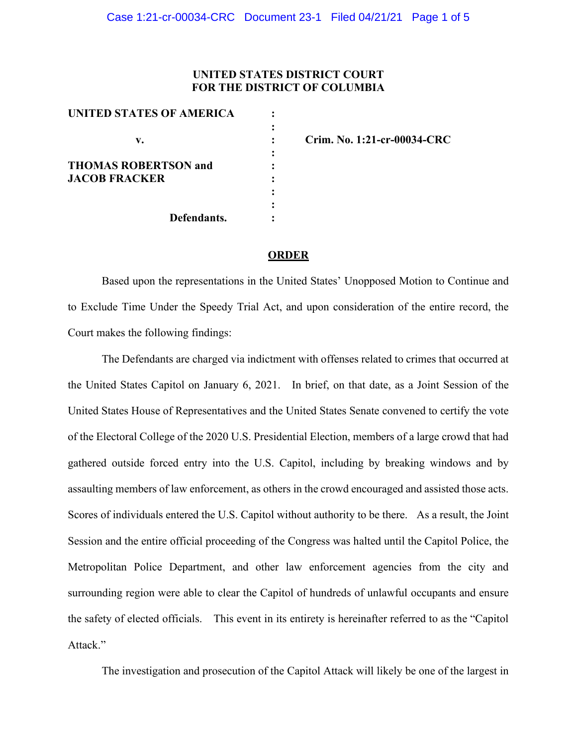## **UNITED STATES DISTRICT COURT FOR THE DISTRICT OF COLUMBIA**

| UNITED STATES OF AMERICA    |  |
|-----------------------------|--|
|                             |  |
| v.                          |  |
|                             |  |
| <b>THOMAS ROBERTSON and</b> |  |
| <b>JACOB FRACKER</b>        |  |
|                             |  |
|                             |  |
| Defendants.                 |  |

**v. : Crim. No. 1:21-cr-00034-CRC**

#### **ORDER**

Based upon the representations in the United States' Unopposed Motion to Continue and to Exclude Time Under the Speedy Trial Act, and upon consideration of the entire record, the Court makes the following findings:

The Defendants are charged via indictment with offenses related to crimes that occurred at the United States Capitol on January 6, 2021. In brief, on that date, as a Joint Session of the United States House of Representatives and the United States Senate convened to certify the vote of the Electoral College of the 2020 U.S. Presidential Election, members of a large crowd that had gathered outside forced entry into the U.S. Capitol, including by breaking windows and by assaulting members of law enforcement, as others in the crowd encouraged and assisted those acts. Scores of individuals entered the U.S. Capitol without authority to be there. As a result, the Joint Session and the entire official proceeding of the Congress was halted until the Capitol Police, the Metropolitan Police Department, and other law enforcement agencies from the city and surrounding region were able to clear the Capitol of hundreds of unlawful occupants and ensure the safety of elected officials. This event in its entirety is hereinafter referred to as the "Capitol Attack."

The investigation and prosecution of the Capitol Attack will likely be one of the largest in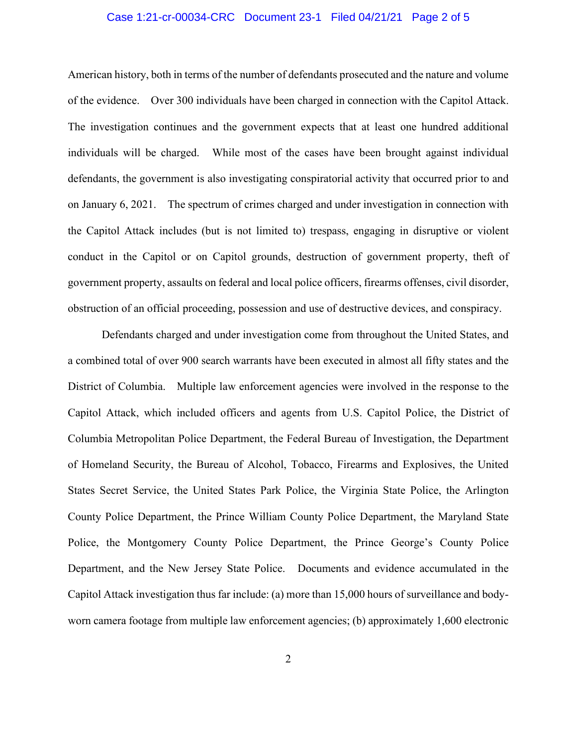#### Case 1:21-cr-00034-CRC Document 23-1 Filed 04/21/21 Page 2 of 5

American history, both in terms of the number of defendants prosecuted and the nature and volume of the evidence. Over 300 individuals have been charged in connection with the Capitol Attack. The investigation continues and the government expects that at least one hundred additional individuals will be charged. While most of the cases have been brought against individual defendants, the government is also investigating conspiratorial activity that occurred prior to and on January 6, 2021. The spectrum of crimes charged and under investigation in connection with the Capitol Attack includes (but is not limited to) trespass, engaging in disruptive or violent conduct in the Capitol or on Capitol grounds, destruction of government property, theft of government property, assaults on federal and local police officers, firearms offenses, civil disorder, obstruction of an official proceeding, possession and use of destructive devices, and conspiracy.

Defendants charged and under investigation come from throughout the United States, and a combined total of over 900 search warrants have been executed in almost all fifty states and the District of Columbia. Multiple law enforcement agencies were involved in the response to the Capitol Attack, which included officers and agents from U.S. Capitol Police, the District of Columbia Metropolitan Police Department, the Federal Bureau of Investigation, the Department of Homeland Security, the Bureau of Alcohol, Tobacco, Firearms and Explosives, the United States Secret Service, the United States Park Police, the Virginia State Police, the Arlington County Police Department, the Prince William County Police Department, the Maryland State Police, the Montgomery County Police Department, the Prince George's County Police Department, and the New Jersey State Police. Documents and evidence accumulated in the Capitol Attack investigation thus far include: (a) more than 15,000 hours of surveillance and bodyworn camera footage from multiple law enforcement agencies; (b) approximately 1,600 electronic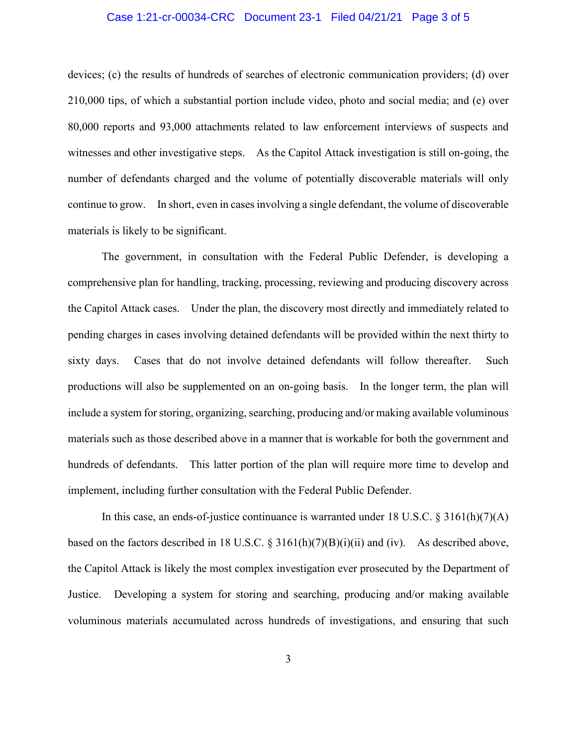#### Case 1:21-cr-00034-CRC Document 23-1 Filed 04/21/21 Page 3 of 5

devices; (c) the results of hundreds of searches of electronic communication providers; (d) over 210,000 tips, of which a substantial portion include video, photo and social media; and (e) over 80,000 reports and 93,000 attachments related to law enforcement interviews of suspects and witnesses and other investigative steps. As the Capitol Attack investigation is still on-going, the number of defendants charged and the volume of potentially discoverable materials will only continue to grow. In short, even in cases involving a single defendant, the volume of discoverable materials is likely to be significant.

The government, in consultation with the Federal Public Defender, is developing a comprehensive plan for handling, tracking, processing, reviewing and producing discovery across the Capitol Attack cases. Under the plan, the discovery most directly and immediately related to pending charges in cases involving detained defendants will be provided within the next thirty to sixty days. Cases that do not involve detained defendants will follow thereafter. Such productions will also be supplemented on an on-going basis. In the longer term, the plan will include a system for storing, organizing, searching, producing and/or making available voluminous materials such as those described above in a manner that is workable for both the government and hundreds of defendants. This latter portion of the plan will require more time to develop and implement, including further consultation with the Federal Public Defender.

In this case, an ends-of-justice continuance is warranted under 18 U.S.C. § 3161(h)(7)(A) based on the factors described in 18 U.S.C.  $\S 3161(h)(7)(B)(i)(ii)$  and (iv). As described above, the Capitol Attack is likely the most complex investigation ever prosecuted by the Department of Justice. Developing a system for storing and searching, producing and/or making available voluminous materials accumulated across hundreds of investigations, and ensuring that such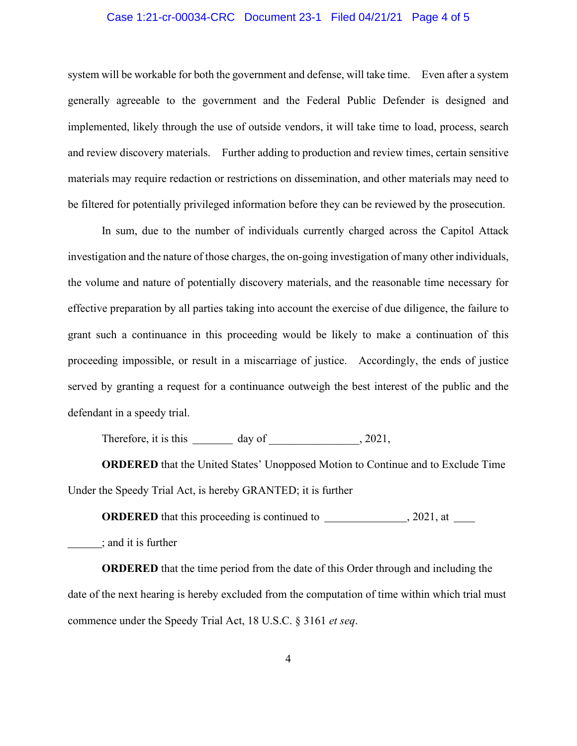#### Case 1:21-cr-00034-CRC Document 23-1 Filed 04/21/21 Page 4 of 5

system will be workable for both the government and defense, will take time. Even after a system generally agreeable to the government and the Federal Public Defender is designed and implemented, likely through the use of outside vendors, it will take time to load, process, search and review discovery materials. Further adding to production and review times, certain sensitive materials may require redaction or restrictions on dissemination, and other materials may need to be filtered for potentially privileged information before they can be reviewed by the prosecution.

In sum, due to the number of individuals currently charged across the Capitol Attack investigation and the nature of those charges, the on-going investigation of many other individuals, the volume and nature of potentially discovery materials, and the reasonable time necessary for effective preparation by all parties taking into account the exercise of due diligence, the failure to grant such a continuance in this proceeding would be likely to make a continuation of this proceeding impossible, or result in a miscarriage of justice. Accordingly, the ends of justice served by granting a request for a continuance outweigh the best interest of the public and the defendant in a speedy trial.

Therefore, it is this  $\_\_\_\_$  day of  $\_\_\_\_\_$ , 2021,

**ORDERED** that the United States' Unopposed Motion to Continue and to Exclude Time Under the Speedy Trial Act, is hereby GRANTED; it is further

**ORDERED** that this proceeding is continued to , 2021, at

; and it is further

**ORDERED** that the time period from the date of this Order through and including the date of the next hearing is hereby excluded from the computation of time within which trial must commence under the Speedy Trial Act, 18 U.S.C. § 3161 *et seq*.